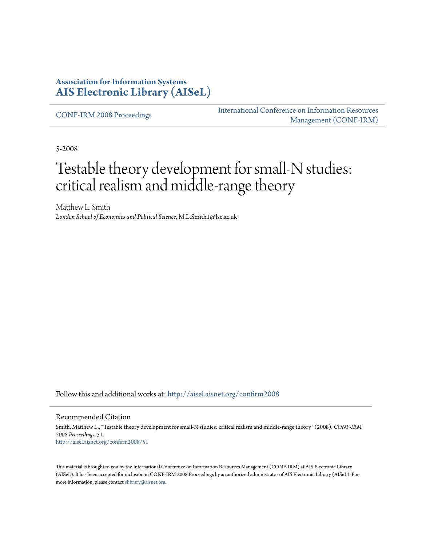### **Association for Information Systems [AIS Electronic Library \(AISeL\)](http://aisel.aisnet.org?utm_source=aisel.aisnet.org%2Fconfirm2008%2F51&utm_medium=PDF&utm_campaign=PDFCoverPages)**

[CONF-IRM 2008 Proceedings](http://aisel.aisnet.org/confirm2008?utm_source=aisel.aisnet.org%2Fconfirm2008%2F51&utm_medium=PDF&utm_campaign=PDFCoverPages)

[International Conference on Information Resources](http://aisel.aisnet.org/conf-irm?utm_source=aisel.aisnet.org%2Fconfirm2008%2F51&utm_medium=PDF&utm_campaign=PDFCoverPages) [Management \(CONF-IRM\)](http://aisel.aisnet.org/conf-irm?utm_source=aisel.aisnet.org%2Fconfirm2008%2F51&utm_medium=PDF&utm_campaign=PDFCoverPages)

5-2008

# Testable theory development for small-N studies: critical realism and middle-range theory

Matthew L. Smith *London School of Economics and Political Science*, M.L.Smith1@lse.ac.uk

Follow this and additional works at: [http://aisel.aisnet.org/confirm2008](http://aisel.aisnet.org/confirm2008?utm_source=aisel.aisnet.org%2Fconfirm2008%2F51&utm_medium=PDF&utm_campaign=PDFCoverPages)

#### Recommended Citation

Smith, Matthew L., "Testable theory development for small-N studies: critical realism and middle-range theory" (2008). *CONF-IRM 2008 Proceedings*. 51. [http://aisel.aisnet.org/confirm2008/51](http://aisel.aisnet.org/confirm2008/51?utm_source=aisel.aisnet.org%2Fconfirm2008%2F51&utm_medium=PDF&utm_campaign=PDFCoverPages)

This material is brought to you by the International Conference on Information Resources Management (CONF-IRM) at AIS Electronic Library (AISeL). It has been accepted for inclusion in CONF-IRM 2008 Proceedings by an authorized administrator of AIS Electronic Library (AISeL). For more information, please contact [elibrary@aisnet.org.](mailto:elibrary@aisnet.org%3E)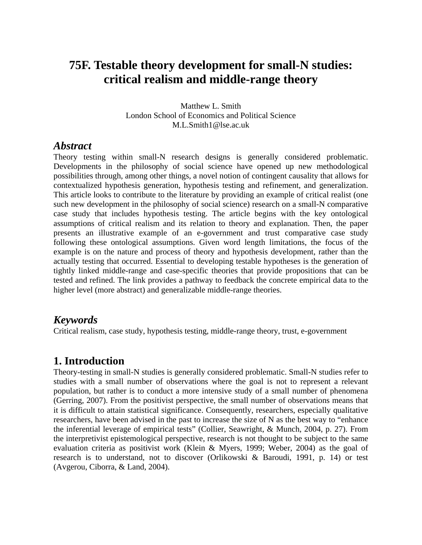# **75F. Testable theory development for small-N studies: critical realism and middle-range theory**

Matthew L. Smith London School of Economics and Political Science M.L.Smith1@lse.ac.uk

#### *Abstract*

Theory testing within small-N research designs is generally considered problematic. Developments in the philosophy of social science have opened up new methodological possibilities through, among other things, a novel notion of contingent causality that allows for contextualized hypothesis generation, hypothesis testing and refinement, and generalization. This article looks to contribute to the literature by providing an example of critical realist (one such new development in the philosophy of social science) research on a small-N comparative case study that includes hypothesis testing. The article begins with the key ontological assumptions of critical realism and its relation to theory and explanation. Then, the paper presents an illustrative example of an e-government and trust comparative case study following these ontological assumptions. Given word length limitations, the focus of the example is on the nature and process of theory and hypothesis development, rather than the actually testing that occurred. Essential to developing testable hypotheses is the generation of tightly linked middle-range and case-specific theories that provide propositions that can be tested and refined. The link provides a pathway to feedback the concrete empirical data to the higher level (more abstract) and generalizable middle-range theories.

#### *Keywords*

Critical realism, case study, hypothesis testing, middle-range theory, trust, e-government

# **1. Introduction**

Theory-testing in small-N studies is generally considered problematic. Small-N studies refer to studies with a small number of observations where the goal is not to represent a relevant population, but rather is to conduct a more intensive study of a small number of phenomena (Gerring, 2007). From the positivist perspective, the small number of observations means that it is difficult to attain statistical significance. Consequently, researchers, especially qualitative researchers, have been advised in the past to increase the size of N as the best way to "enhance the inferential leverage of empirical tests" (Collier, Seawright, & Munch, 2004, p. 27). From the interpretivist epistemological perspective, research is not thought to be subject to the same evaluation criteria as positivist work (Klein & Myers, 1999; Weber, 2004) as the goal of research is to understand, not to discover (Orlikowski & Baroudi, 1991, p. 14) or test (Avgerou, Ciborra, & Land, 2004).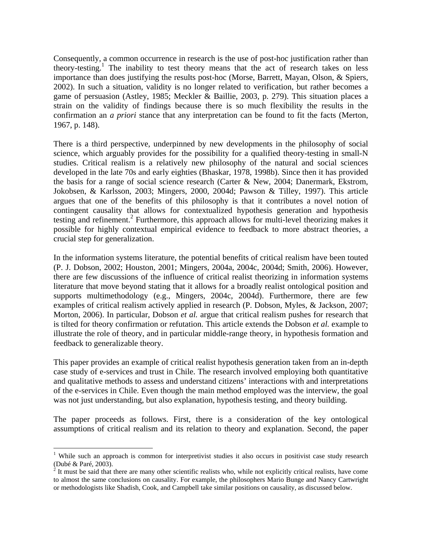Consequently, a common occurrence in research is the use of post-hoc justification rather than theory-testing.<sup>1</sup> The inability to test theory means that the act of research takes on less importance than does justifying the results post-hoc (Morse, Barrett, Mayan, Olson, & Spiers, 2002). In such a situation, validity is no longer related to verification, but rather becomes a game of persuasion (Astley, 1985; Meckler & Baillie, 2003, p. 279). This situation places a strain on the validity of findings because there is so much flexibility the results in the confirmation an *a priori* stance that any interpretation can be found to fit the facts (Merton, 1967, p. 148).

There is a third perspective, underpinned by new developments in the philosophy of social science, which arguably provides for the possibility for a qualified theory-testing in small-N studies. Critical realism is a relatively new philosophy of the natural and social sciences developed in the late 70s and early eighties (Bhaskar, 1978, 1998b). Since then it has provided the basis for a range of social science research (Carter & New, 2004; Danermark, Ekstrom, Jokobsen, & Karlsson, 2003; Mingers, 2000, 2004d; Pawson & Tilley, 1997). This article argues that one of the benefits of this philosophy is that it contributes a novel notion of contingent causality that allows for contextualized hypothesis generation and hypothesis testing and refinement.<sup>2</sup> Furthermore, this approach allows for multi-level theorizing makes it possible for highly contextual empirical evidence to feedback to more abstract theories, a crucial step for generalization.

In the information systems literature, the potential benefits of critical realism have been touted (P. J. Dobson, 2002; Houston, 2001; Mingers, 2004a, 2004c, 2004d; Smith, 2006). However, there are few discussions of the influence of critical realist theorizing in information systems literature that move beyond stating that it allows for a broadly realist ontological position and supports multimethodology (e.g., Mingers, 2004c, 2004d). Furthermore, there are few examples of critical realism actively applied in research (P. Dobson, Myles, & Jackson, 2007; Morton, 2006). In particular, Dobson *et al.* argue that critical realism pushes for research that is tilted for theory confirmation or refutation. This article extends the Dobson *et al.* example to illustrate the role of theory, and in particular middle-range theory, in hypothesis formation and feedback to generalizable theory.

This paper provides an example of critical realist hypothesis generation taken from an in-depth case study of e-services and trust in Chile. The research involved employing both quantitative and qualitative methods to assess and understand citizens' interactions with and interpretations of the e-services in Chile. Even though the main method employed was the interview, the goal was not just understanding, but also explanation, hypothesis testing, and theory building.

The paper proceeds as follows. First, there is a consideration of the key ontological assumptions of critical realism and its relation to theory and explanation. Second, the paper

 $\overline{a}$ 

<sup>&</sup>lt;sup>1</sup> While such an approach is common for interpretivist studies it also occurs in positivist case study research (Dubé & Paré, 2003).

 $2<sup>2</sup>$  It must be said that there are many other scientific realists who, while not explicitly critical realists, have come to almost the same conclusions on causality. For example, the philosophers Mario Bunge and Nancy Cartwright or methodologists like Shadish, Cook, and Campbell take similar positions on causality, as discussed below.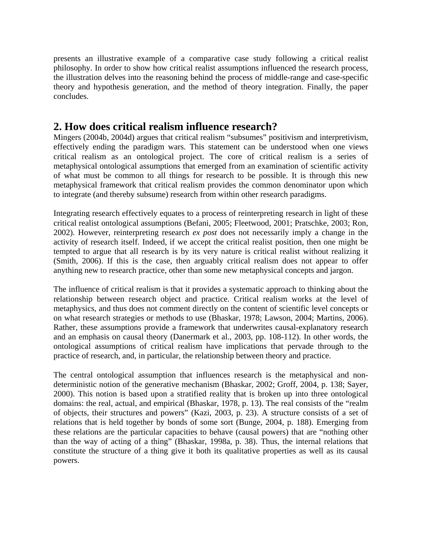presents an illustrative example of a comparative case study following a critical realist philosophy. In order to show how critical realist assumptions influenced the research process, the illustration delves into the reasoning behind the process of middle-range and case-specific theory and hypothesis generation, and the method of theory integration. Finally, the paper concludes.

# **2. How does critical realism influence research?**

Mingers (2004b, 2004d) argues that critical realism "subsumes" positivism and interpretivism, effectively ending the paradigm wars. This statement can be understood when one views critical realism as an ontological project. The core of critical realism is a series of metaphysical ontological assumptions that emerged from an examination of scientific activity of what must be common to all things for research to be possible. It is through this new metaphysical framework that critical realism provides the common denominator upon which to integrate (and thereby subsume) research from within other research paradigms.

Integrating research effectively equates to a process of reinterpreting research in light of these critical realist ontological assumptions (Befani, 2005; Fleetwood, 2001; Pratschke, 2003; Ron, 2002). However, reinterpreting research *ex post* does not necessarily imply a change in the activity of research itself. Indeed, if we accept the critical realist position, then one might be tempted to argue that all research is by its very nature is critical realist without realizing it (Smith, 2006). If this is the case, then arguably critical realism does not appear to offer anything new to research practice, other than some new metaphysical concepts and jargon.

The influence of critical realism is that it provides a systematic approach to thinking about the relationship between research object and practice. Critical realism works at the level of metaphysics, and thus does not comment directly on the content of scientific level concepts or on what research strategies or methods to use (Bhaskar, 1978; Lawson, 2004; Martins, 2006). Rather, these assumptions provide a framework that underwrites causal-explanatory research and an emphasis on causal theory (Danermark et al., 2003, pp. 108-112). In other words, the ontological assumptions of critical realism have implications that pervade through to the practice of research, and, in particular, the relationship between theory and practice.

The central ontological assumption that influences research is the metaphysical and nondeterministic notion of the generative mechanism (Bhaskar, 2002; Groff, 2004, p. 138; Sayer, 2000). This notion is based upon a stratified reality that is broken up into three ontological domains: the real, actual, and empirical (Bhaskar, 1978, p. 13). The real consists of the "realm of objects, their structures and powers" (Kazi, 2003, p. 23). A structure consists of a set of relations that is held together by bonds of some sort (Bunge, 2004, p. 188). Emerging from these relations are the particular capacities to behave (causal powers) that are "nothing other than the way of acting of a thing" (Bhaskar, 1998a, p. 38). Thus, the internal relations that constitute the structure of a thing give it both its qualitative properties as well as its causal powers.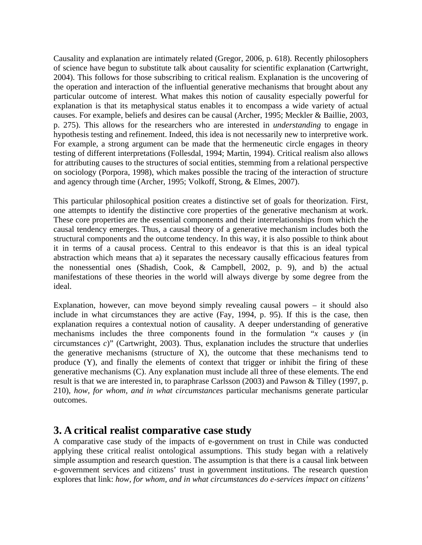Causality and explanation are intimately related (Gregor, 2006, p. 618). Recently philosophers of science have begun to substitute talk about causality for scientific explanation (Cartwright, 2004). This follows for those subscribing to critical realism. Explanation is the uncovering of the operation and interaction of the influential generative mechanisms that brought about any particular outcome of interest. What makes this notion of causality especially powerful for explanation is that its metaphysical status enables it to encompass a wide variety of actual causes. For example, beliefs and desires can be causal (Archer, 1995; Meckler & Baillie, 2003, p. 275). This allows for the researchers who are interested in *understanding* to engage in hypothesis testing and refinement. Indeed, this idea is not necessarily new to interpretive work. For example, a strong argument can be made that the hermeneutic circle engages in theory testing of different interpretations (Follesdal, 1994; Martin, 1994). Critical realism also allows for attributing causes to the structures of social entities, stemming from a relational perspective on sociology (Porpora, 1998), which makes possible the tracing of the interaction of structure and agency through time (Archer, 1995; Volkoff, Strong, & Elmes, 2007).

This particular philosophical position creates a distinctive set of goals for theorization. First, one attempts to identify the distinctive core properties of the generative mechanism at work. These core properties are the essential components and their interrelationships from which the causal tendency emerges. Thus, a causal theory of a generative mechanism includes both the structural components and the outcome tendency. In this way, it is also possible to think about it in terms of a causal process. Central to this endeavor is that this is an ideal typical abstraction which means that a) it separates the necessary causally efficacious features from the nonessential ones (Shadish, Cook, & Campbell, 2002, p. 9), and b) the actual manifestations of these theories in the world will always diverge by some degree from the ideal.

Explanation, however, can move beyond simply revealing causal powers – it should also include in what circumstances they are active (Fay, 1994, p. 95). If this is the case, then explanation requires a contextual notion of causality. A deeper understanding of generative mechanisms includes the three components found in the formulation "*x* causes *y* (in circumstances *c*)" (Cartwright, 2003). Thus, explanation includes the structure that underlies the generative mechanisms (structure of X), the outcome that these mechanisms tend to produce (Y), and finally the elements of context that trigger or inhibit the firing of these generative mechanisms (C). Any explanation must include all three of these elements. The end result is that we are interested in, to paraphrase Carlsson (2003) and Pawson & Tilley (1997, p. 210), *how, for whom, and in what circumstances* particular mechanisms generate particular outcomes.

# **3. A critical realist comparative case study**

A comparative case study of the impacts of e-government on trust in Chile was conducted applying these critical realist ontological assumptions. This study began with a relatively simple assumption and research question. The assumption is that there is a causal link between e-government services and citizens' trust in government institutions. The research question explores that link: *how, for whom, and in what circumstances do e-services impact on citizens'*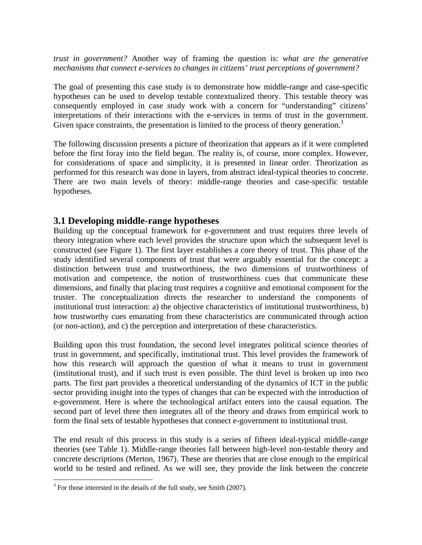*trust in government?* Another way of framing the question is: *what are the generative mechanisms that connect e-services to changes in citizens' trust perceptions of government?* 

The goal of presenting this case study is to demonstrate how middle-range and case-specific hypotheses can be used to develop testable contextualized theory. This testable theory was consequently employed in case study work with a concern for "understanding" citizens' interpretations of their interactions with the e-services in terms of trust in the government. Given space constraints, the presentation is limited to the process of theory generation.<sup>3</sup>

The following discussion presents a picture of theorization that appears as if it were completed before the first foray into the field began. The reality is, of course, more complex. However, for considerations of space and simplicity, it is presented in linear order. Theorization as performed for this research was done in layers, from abstract ideal-typical theories to concrete. There are two main levels of theory: middle-range theories and case-specific testable hypotheses.

#### **3.1 Developing middle-range hypotheses**

Building up the conceptual framework for e-government and trust requires three levels of theory integration where each level provides the structure upon which the subsequent level is constructed (see Figure 1). The first layer establishes a core theory of trust. This phase of the study identified several components of trust that were arguably essential for the concept: a distinction between trust and trustworthiness, the two dimensions of trustworthiness of motivation and competence, the notion of trustworthiness cues that communicate these dimensions, and finally that placing trust requires a cognitive and emotional component for the truster. The conceptualization directs the researcher to understand the components of institutional trust interaction: a) the objective characteristics of institutional trustworthiness, b) how trustworthy cues emanating from these characteristics are communicated through action (or non-action), and c) the perception and interpretation of these characteristics.

Building upon this trust foundation, the second level integrates political science theories of trust in government, and specifically, institutional trust. This level provides the framework of how this research will approach the question of what it means to trust in government (institutional trust), and if such trust is even possible. The third level is broken up into two parts. The first part provides a theoretical understanding of the dynamics of ICT in the public sector providing insight into the types of changes that can be expected with the introduction of e-government. Here is where the technological artifact enters into the causal equation. The second part of level three then integrates all of the theory and draws from empirical work to form the final sets of testable hypotheses that connect e-government to institutional trust.

The end result of this process in this study is a series of fifteen ideal-typical middle-range theories (see Table 1). Middle-range theories fall between high-level non-testable theory and concrete descriptions (Merton, 1967). These are theories that are close enough to the empirical world to be tested and refined. As we will see, they provide the link between the concrete

 $\overline{a}$ 

 $3$  For those interested in the details of the full study, see Smith (2007).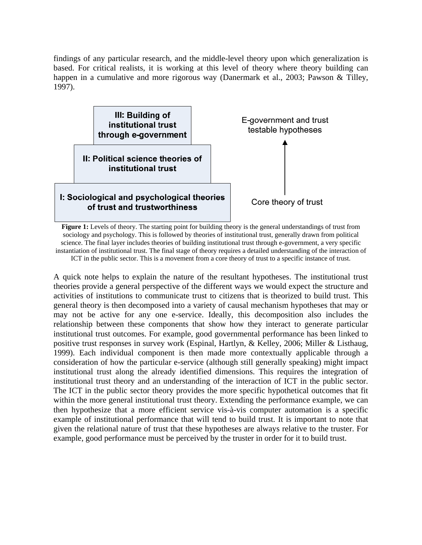findings of any particular research, and the middle-level theory upon which generalization is based. For critical realists, it is working at this level of theory where theory building can happen in a cumulative and more rigorous way (Danermark et al., 2003; Pawson & Tilley, 1997).



**Figure 1:** Levels of theory. The starting point for building theory is the general understandings of trust from sociology and psychology. This is followed by theories of institutional trust, generally drawn from political science. The final layer includes theories of building institutional trust through e-government, a very specific instantiation of institutional trust. The final stage of theory requires a detailed understanding of the interaction of ICT in the public sector. This is a movement from a core theory of trust to a specific instance of trust.

A quick note helps to explain the nature of the resultant hypotheses. The institutional trust theories provide a general perspective of the different ways we would expect the structure and activities of institutions to communicate trust to citizens that is theorized to build trust. This general theory is then decomposed into a variety of causal mechanism hypotheses that may or may not be active for any one e-service. Ideally, this decomposition also includes the relationship between these components that show how they interact to generate particular institutional trust outcomes. For example, good governmental performance has been linked to positive trust responses in survey work (Espinal, Hartlyn, & Kelley, 2006; Miller & Listhaug, 1999). Each individual component is then made more contextually applicable through a consideration of how the particular e-service (although still generally speaking) might impact institutional trust along the already identified dimensions. This requires the integration of institutional trust theory and an understanding of the interaction of ICT in the public sector. The ICT in the public sector theory provides the more specific hypothetical outcomes that fit within the more general institutional trust theory. Extending the performance example, we can then hypothesize that a more efficient service vis-à-vis computer automation is a specific example of institutional performance that will tend to build trust. It is important to note that given the relational nature of trust that these hypotheses are always relative to the truster. For example, good performance must be perceived by the truster in order for it to build trust.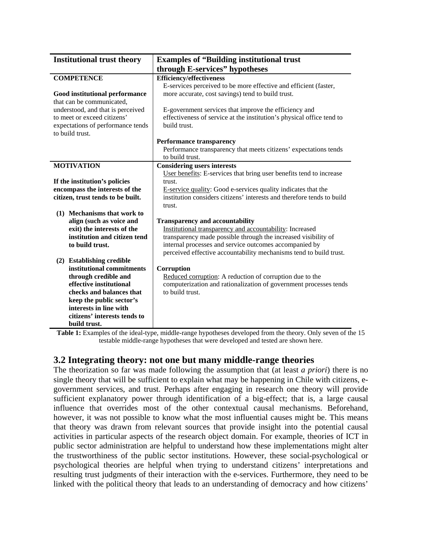| <b>Institutional trust theory</b>     | <b>Examples of "Building institutional trust"</b>                                                   |  |
|---------------------------------------|-----------------------------------------------------------------------------------------------------|--|
|                                       | through E-services" hypotheses                                                                      |  |
| <b>COMPETENCE</b>                     | <b>Efficiency/effectiveness</b>                                                                     |  |
|                                       | E-services perceived to be more effective and efficient (faster,                                    |  |
| <b>Good institutional performance</b> | more accurate, cost savings) tend to build trust.                                                   |  |
| that can be communicated,             |                                                                                                     |  |
| understood, and that is perceived     | E-government services that improve the efficiency and                                               |  |
| to meet or exceed citizens'           | effectiveness of service at the institution's physical office tend to                               |  |
| expectations of performance tends     | build trust.                                                                                        |  |
| to build trust.                       |                                                                                                     |  |
|                                       | <b>Performance transparency</b><br>Performance transparency that meets citizens' expectations tends |  |
|                                       | to build trust.                                                                                     |  |
| <b>MOTIVATION</b>                     | <b>Considering users interests</b>                                                                  |  |
|                                       | User benefits: E-services that bring user benefits tend to increase                                 |  |
| If the institution's policies         | trust.                                                                                              |  |
| encompass the interests of the        | E-service quality: Good e-services quality indicates that the                                       |  |
| citizen, trust tends to be built.     | institution considers citizens' interests and therefore tends to build                              |  |
|                                       | trust.                                                                                              |  |
| (1) Mechanisms that work to           |                                                                                                     |  |
| align (such as voice and              | <b>Transparency and accountability</b>                                                              |  |
| exit) the interests of the            | Institutional transparency and accountability: Increased                                            |  |
| institution and citizen tend          | transparency made possible through the increased visibility of                                      |  |
| to build trust.                       | internal processes and service outcomes accompanied by                                              |  |
|                                       | perceived effective accountability mechanisms tend to build trust.                                  |  |
| (2) Establishing credible             |                                                                                                     |  |
| institutional commitments             | Corruption                                                                                          |  |
| through credible and                  | Reduced corruption: A reduction of corruption due to the                                            |  |
| effective institutional               | computerization and rationalization of government processes tends                                   |  |
| checks and balances that              | to build trust.                                                                                     |  |
| keep the public sector's              |                                                                                                     |  |
| interests in line with                |                                                                                                     |  |
| citizens' interests tends to          |                                                                                                     |  |
| build trust.                          |                                                                                                     |  |

**Table 1:** Examples of the ideal-type, middle-range hypotheses developed from the theory. Only seven of the 15 testable middle-range hypotheses that were developed and tested are shown here.

#### **3.2 Integrating theory: not one but many middle-range theories**

The theorization so far was made following the assumption that (at least *a priori*) there is no single theory that will be sufficient to explain what may be happening in Chile with citizens, egovernment services, and trust. Perhaps after engaging in research one theory will provide sufficient explanatory power through identification of a big-effect; that is, a large causal influence that overrides most of the other contextual causal mechanisms. Beforehand, however, it was not possible to know what the most influential causes might be. This means that theory was drawn from relevant sources that provide insight into the potential causal activities in particular aspects of the research object domain. For example, theories of ICT in public sector administration are helpful to understand how these implementations might alter the trustworthiness of the public sector institutions. However, these social-psychological or psychological theories are helpful when trying to understand citizens' interpretations and resulting trust judgments of their interaction with the e-services. Furthermore, they need to be linked with the political theory that leads to an understanding of democracy and how citizens'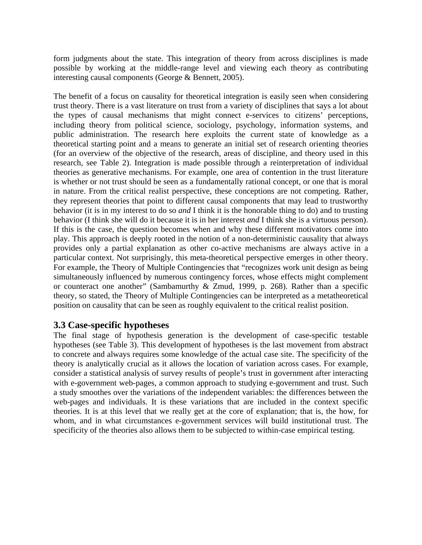form judgments about the state. This integration of theory from across disciplines is made possible by working at the middle-range level and viewing each theory as contributing interesting causal components (George & Bennett, 2005).

The benefit of a focus on causality for theoretical integration is easily seen when considering trust theory. There is a vast literature on trust from a variety of disciplines that says a lot about the types of causal mechanisms that might connect e-services to citizens' perceptions, including theory from political science, sociology, psychology, information systems, and public administration. The research here exploits the current state of knowledge as a theoretical starting point and a means to generate an initial set of research orienting theories (for an overview of the objective of the research, areas of discipline, and theory used in this research, see Table 2). Integration is made possible through a reinterpretation of individual theories as generative mechanisms. For example, one area of contention in the trust literature is whether or not trust should be seen as a fundamentally rational concept, or one that is moral in nature. From the critical realist perspective, these conceptions are not competing. Rather, they represent theories that point to different causal components that may lead to trustworthy behavior (it is in my interest to do so *and* I think it is the honorable thing to do) and to trusting behavior (I think she will do it because it is in her interest *and* I think she is a virtuous person). If this is the case, the question becomes when and why these different motivators come into play. This approach is deeply rooted in the notion of a non-deterministic causality that always provides only a partial explanation as other co-active mechanisms are always active in a particular context. Not surprisingly, this meta-theoretical perspective emerges in other theory. For example, the Theory of Multiple Contingencies that "recognizes work unit design as being simultaneously influenced by numerous contingency forces, whose effects might complement or counteract one another" (Sambamurthy & Zmud, 1999, p. 268). Rather than a specific theory, so stated, the Theory of Multiple Contingencies can be interpreted as a metatheoretical position on causality that can be seen as roughly equivalent to the critical realist position.

#### **3.3 Case-specific hypotheses**

The final stage of hypothesis generation is the development of case-specific testable hypotheses (see Table 3). This development of hypotheses is the last movement from abstract to concrete and always requires some knowledge of the actual case site. The specificity of the theory is analytically crucial as it allows the location of variation across cases. For example, consider a statistical analysis of survey results of people's trust in government after interacting with e-government web-pages, a common approach to studying e-government and trust. Such a study smoothes over the variations of the independent variables: the differences between the web-pages and individuals. It is these variations that are included in the context specific theories. It is at this level that we really get at the core of explanation; that is, the how, for whom, and in what circumstances e-government services will build institutional trust. The specificity of the theories also allows them to be subjected to within-case empirical testing.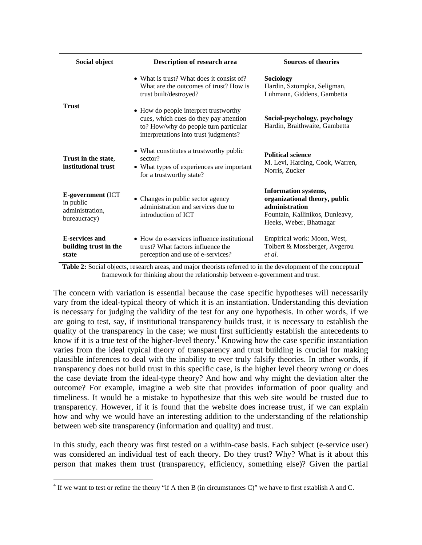| Social object                                                                                                                                                                    | Description of research area                                                                                                                                      | <b>Sources of theories</b>                                                                                                                   |
|----------------------------------------------------------------------------------------------------------------------------------------------------------------------------------|-------------------------------------------------------------------------------------------------------------------------------------------------------------------|----------------------------------------------------------------------------------------------------------------------------------------------|
|                                                                                                                                                                                  | • What is trust? What does it consist of?<br>What are the outcomes of trust? How is<br>trust built/destroyed?                                                     | Sociology<br>Hardin, Sztompka, Seligman,<br>Luhmann, Giddens, Gambetta                                                                       |
| <b>Trust</b>                                                                                                                                                                     | • How do people interpret trustworthy<br>cues, which cues do they pay attention<br>to? How/why do people turn particular<br>interpretations into trust judgments? | Social-psychology, psychology<br>Hardin, Braithwaite, Gambetta                                                                               |
| Trust in the state.<br>institutional trust                                                                                                                                       | • What constitutes a trustworthy public<br>sector?<br>• What types of experiences are important<br>for a trustworthy state?                                       | <b>Political science</b><br>M. Levi, Harding, Cook, Warren,<br>Norris, Zucker                                                                |
| <b>E-government</b> (ICT<br>• Changes in public sector agency<br>in public<br>administration and services due to<br>administration,<br>introduction of ICT<br>bureaucracy)       |                                                                                                                                                                   | <b>Information systems,</b><br>organizational theory, public<br>administration<br>Fountain, Kallinikos, Dunleavy,<br>Heeks, Weber, Bhatnagar |
| <b>E-services and</b><br>• How do e-services influence institutional<br>building trust in the<br>trust? What factors influence the<br>perception and use of e-services?<br>state |                                                                                                                                                                   | Empirical work: Moon, West,<br>Tolbert & Mossberger, Avgerou<br>et al.                                                                       |

**Table 2:** Social objects, research areas, and major theorists referred to in the development of the conceptual framework for thinking about the relationship between e-government and trust.

The concern with variation is essential because the case specific hypotheses will necessarily vary from the ideal-typical theory of which it is an instantiation. Understanding this deviation is necessary for judging the validity of the test for any one hypothesis. In other words, if we are going to test, say, if institutional transparency builds trust, it is necessary to establish the quality of the transparency in the case; we must first sufficiently establish the antecedents to know if it is a true test of the higher-level theory.<sup>4</sup> Knowing how the case specific instantiation varies from the ideal typical theory of transparency and trust building is crucial for making plausible inferences to deal with the inability to ever truly falsify theories. In other words, if transparency does not build trust in this specific case, is the higher level theory wrong or does the case deviate from the ideal-type theory? And how and why might the deviation alter the outcome? For example, imagine a web site that provides information of poor quality and timeliness. It would be a mistake to hypothesize that this web site would be trusted due to transparency. However, if it is found that the website does increase trust, if we can explain how and why we would have an interesting addition to the understanding of the relationship between web site transparency (information and quality) and trust.

In this study, each theory was first tested on a within-case basis. Each subject (e-service user) was considered an individual test of each theory. Do they trust? Why? What is it about this person that makes them trust (transparency, efficiency, something else)? Given the partial

 $\overline{a}$ 

 $4$  If we want to test or refine the theory "if A then B (in circumstances C)" we have to first establish A and C.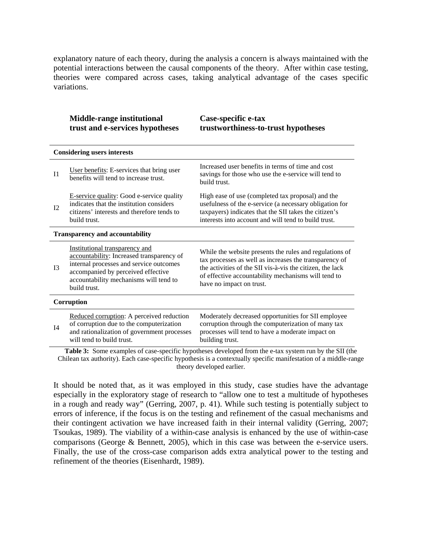explanatory nature of each theory, during the analysis a concern is always maintained with the potential interactions between the causal components of the theory. After within case testing, theories were compared across cases, taking analytical advantage of the cases specific variations.

|                | <b>Middle-range institutional</b><br>trust and e-services hypotheses                                                                                                                                                   | Case-specific e-tax<br>trustworthiness-to-trust hypotheses                                                                                                                                                                                                        |  |  |  |
|----------------|------------------------------------------------------------------------------------------------------------------------------------------------------------------------------------------------------------------------|-------------------------------------------------------------------------------------------------------------------------------------------------------------------------------------------------------------------------------------------------------------------|--|--|--|
|                | <b>Considering users interests</b>                                                                                                                                                                                     |                                                                                                                                                                                                                                                                   |  |  |  |
| I <sub>1</sub> | User benefits: E-services that bring user<br>benefits will tend to increase trust.                                                                                                                                     | Increased user benefits in terms of time and cost<br>savings for those who use the e-service will tend to<br>build trust.                                                                                                                                         |  |  |  |
| I2             | E-service quality: Good e-service quality<br>indicates that the institution considers<br>citizens' interests and therefore tends to<br>build trust.                                                                    | High ease of use (completed tax proposal) and the<br>usefulness of the e-service (a necessary obligation for<br>taxpayers) indicates that the SII takes the citizen's<br>interests into account and will tend to build trust.                                     |  |  |  |
|                | <b>Transparency and accountability</b>                                                                                                                                                                                 |                                                                                                                                                                                                                                                                   |  |  |  |
| I <sub>3</sub> | Institutional transparency and<br>accountability: Increased transparency of<br>internal processes and service outcomes<br>accompanied by perceived effective<br>accountability mechanisms will tend to<br>build trust. | While the website presents the rules and regulations of<br>tax processes as well as increases the transparency of<br>the activities of the SII vis-à-vis the citizen, the lack<br>of effective accountability mechanisms will tend to<br>have no impact on trust. |  |  |  |
|                | Corruption                                                                                                                                                                                                             |                                                                                                                                                                                                                                                                   |  |  |  |
| I4             | Reduced corruption: A perceived reduction<br>of corruption due to the computerization<br>and rationalization of government processes<br>will tend to build trust.                                                      | Moderately decreased opportunities for SII employee<br>corruption through the computerization of many tax<br>processes will tend to have a moderate impact on<br>building trust.                                                                                  |  |  |  |
|                |                                                                                                                                                                                                                        | Table 3: Some examples of case-specific hypotheses developed from the e-tax system run by the SII (the                                                                                                                                                            |  |  |  |

Chilean tax authority). Each case-specific hypothesis is a contextually specific manifestation of a middle-range theory developed earlier.

It should be noted that, as it was employed in this study, case studies have the advantage especially in the exploratory stage of research to "allow one to test a multitude of hypotheses in a rough and ready way" (Gerring, 2007, p. 41). While such testing is potentially subject to errors of inference, if the focus is on the testing and refinement of the casual mechanisms and their contingent activation we have increased faith in their internal validity (Gerring, 2007; Tsoukas, 1989). The viability of a within-case analysis is enhanced by the use of within-case comparisons (George & Bennett, 2005), which in this case was between the e-service users. Finally, the use of the cross-case comparison adds extra analytical power to the testing and refinement of the theories (Eisenhardt, 1989).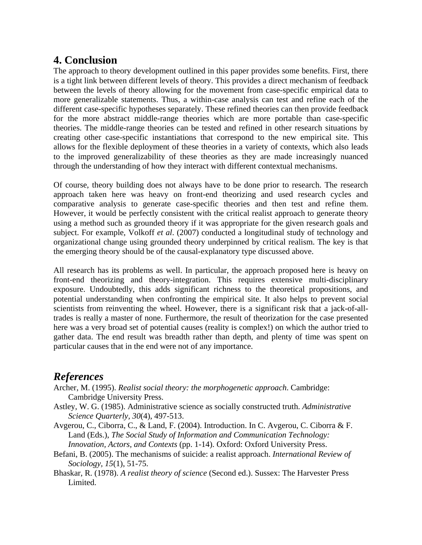# **4. Conclusion**

The approach to theory development outlined in this paper provides some benefits. First, there is a tight link between different levels of theory. This provides a direct mechanism of feedback between the levels of theory allowing for the movement from case-specific empirical data to more generalizable statements. Thus, a within-case analysis can test and refine each of the different case-specific hypotheses separately. These refined theories can then provide feedback for the more abstract middle-range theories which are more portable than case-specific theories. The middle-range theories can be tested and refined in other research situations by creating other case-specific instantiations that correspond to the new empirical site. This allows for the flexible deployment of these theories in a variety of contexts, which also leads to the improved generalizability of these theories as they are made increasingly nuanced through the understanding of how they interact with different contextual mechanisms.

Of course, theory building does not always have to be done prior to research. The research approach taken here was heavy on front-end theorizing and used research cycles and comparative analysis to generate case-specific theories and then test and refine them. However, it would be perfectly consistent with the critical realist approach to generate theory using a method such as grounded theory if it was appropriate for the given research goals and subject. For example, Volkoff *et al*. (2007) conducted a longitudinal study of technology and organizational change using grounded theory underpinned by critical realism. The key is that the emerging theory should be of the causal-explanatory type discussed above.

All research has its problems as well. In particular, the approach proposed here is heavy on front-end theorizing and theory-integration. This requires extensive multi-disciplinary exposure. Undoubtedly, this adds significant richness to the theoretical propositions, and potential understanding when confronting the empirical site. It also helps to prevent social scientists from reinventing the wheel. However, there is a significant risk that a jack-of-alltrades is really a master of none. Furthermore, the result of theorization for the case presented here was a very broad set of potential causes (reality is complex!) on which the author tried to gather data. The end result was breadth rather than depth, and plenty of time was spent on particular causes that in the end were not of any importance.

# *References*

- Archer, M. (1995). *Realist social theory: the morphogenetic approach*. Cambridge: Cambridge University Press.
- Astley, W. G. (1985). Administrative science as socially constructed truth. *Administrative Science Quarterly, 30*(4), 497-513.
- Avgerou, C., Ciborra, C., & Land, F. (2004). Introduction. In C. Avgerou, C. Ciborra & F. Land (Eds.), *The Social Study of Information and Communication Technology: Innovation, Actors, and Contexts* (pp. 1-14). Oxford: Oxford University Press.
- Befani, B. (2005). The mechanisms of suicide: a realist approach. *International Review of Sociology, 15*(1), 51-75.
- Bhaskar, R. (1978). *A realist theory of science* (Second ed.). Sussex: The Harvester Press Limited.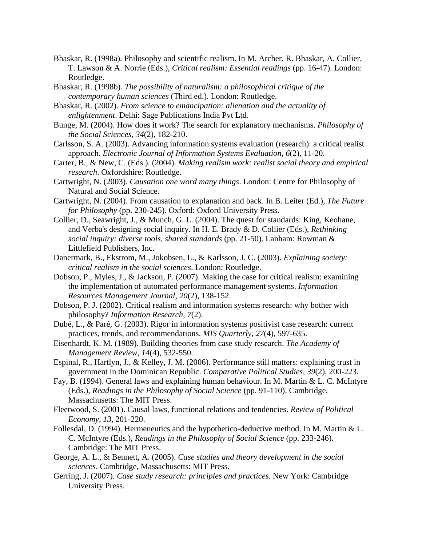- Bhaskar, R. (1998a). Philosophy and scientific realism. In M. Archer, R. Bhaskar, A. Collier, T. Lawson & A. Norrie (Eds.), *Critical realism: Essential readings* (pp. 16-47). London: Routledge.
- Bhaskar, R. (1998b). *The possibility of naturalism: a philosophical critique of the contemporary human sciences* (Third ed.). London: Routledge.
- Bhaskar, R. (2002). *From science to emancipation: alienation and the actuality of enlightenment*. Delhi: Sage Publications India Pvt Ltd.
- Bunge, M. (2004). How does it work? The search for explanatory mechanisms. *Philosophy of the Social Sciences, 34*(2), 182-210.
- Carlsson, S. A. (2003). Advancing information systems evaluation (research): a critical realist approach. *Electronic Journal of Information Systems Evaluation, 6*(2), 11-20.
- Carter, B., & New, C. (Eds.). (2004). *Making realism work: realist social theory and empirical research*. Oxfordshire: Routledge.
- Cartwright, N. (2003). *Causation one word many things*. London: Centre for Philosophy of Natural and Social Science.
- Cartwright, N. (2004). From causation to explanation and back. In B. Leiter (Ed.), *The Future for Philosophy* (pp. 230-245). Oxford: Oxford University Press.
- Collier, D., Seawright, J., & Munch, G. L. (2004). The quest for standards: King, Keohane, and Verba's designing social inquiry. In H. E. Brady & D. Collier (Eds.), *Rethinking social inquiry: diverse tools, shared standards* (pp. 21-50). Lanham: Rowman & Littlefield Publishers, Inc.
- Danermark, B., Ekstrom, M., Jokobsen, L., & Karlsson, J. C. (2003). *Explaining society: critical realism in the social sciences*. London: Routledge.
- Dobson, P., Myles, J., & Jackson, P. (2007). Making the case for critical realism: examining the implementation of automated performance management systems. *Information Resources Management Journal, 20*(2), 138-152.
- Dobson, P. J. (2002). Critical realism and information systems research: why bother with philosophy? *Information Research, 7*(2).
- Dubé, L., & Paré, G. (2003). Rigor in information systems positivist case research: current practices, trends, and recommendations. *MIS Quarterly, 27*(4), 597-635.
- Eisenhardt, K. M. (1989). Building theories from case study research. *The Academy of Management Review, 14*(4), 532-550.
- Espinal, R., Hartlyn, J., & Kelley, J. M. (2006). Performance still matters: explaining trust in government in the Dominican Republic. *Comparative Political Studies, 39*(2), 200-223.
- Fay, B. (1994). General laws and explaining human behaviour. In M. Martin & L. C. McIntyre (Eds.), *Readings in the Philosophy of Social Science* (pp. 91-110). Cambridge, Massachusetts: The MIT Press.
- Fleetwood, S. (2001). Causal laws, functional relations and tendencies. *Review of Political Economy, 13*, 201-220.
- Follesdal, D. (1994). Hermeneutics and the hypothetico-deductive method. In M. Martin & L. C. McIntyre (Eds.), *Readings in the Philosophy of Social Science* (pp. 233-246). Cambridge: The MIT Press.
- George, A. L., & Bennett, A. (2005). *Case studies and theory development in the social sciences*. Cambridge, Massachusetts: MIT Press.
- Gerring, J. (2007). *Case study research: principles and practices*. New York: Cambridge University Press.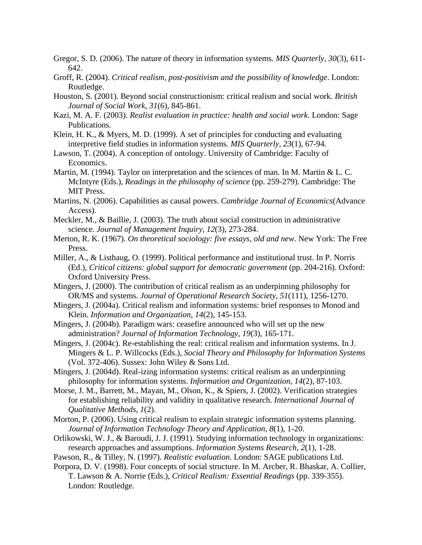- Gregor, S. D. (2006). The nature of theory in information systems. *MIS Quarterly, 30*(3), 611- 642.
- Groff, R. (2004). *Critical realism, post-positivism and the possibility of knowledge*. London: Routledge.
- Houston, S. (2001). Beyond social constructionism: critical realism and social work. *British Journal of Social Work, 31*(6), 845-861.
- Kazi, M. A. F. (2003). *Realist evaluation in practice: health and social work*. London: Sage Publications.
- Klein, H. K., & Myers, M. D. (1999). A set of principles for conducting and evaluating interpretive field studies in information systems. *MIS Quarterly, 23*(1), 67-94.
- Lawson, T. (2004). A conception of ontology. University of Cambridge: Faculty of Economics.
- Martin, M. (1994). Taylor on interpretation and the sciences of man. In M. Martin & L. C. McIntyre (Eds.), *Readings in the philosophy of science* (pp. 259-279). Cambridge: The MIT Press.
- Martins, N. (2006). Capabilities as causal powers. *Cambridge Journal of Economics*(Advance Access).
- Meckler, M., & Baillie, J. (2003). The truth about social construction in administrative science. *Journal of Management Inquiry, 12*(3), 273-284.
- Merton, R. K. (1967). *On theoretical sociology: five essays, old and new*. New York: The Free Press.
- Miller, A., & Listhaug, O. (1999). Political performance and institutional trust. In P. Norris (Ed.), *Critical citizens: global support for democratic government* (pp. 204-216). Oxford: Oxford University Press.
- Mingers, J. (2000). The contribution of critical realism as an underpinning philosophy for OR/MS and systems. *Journal of Operational Research Society, 51*(111), 1256-1270.
- Mingers, J. (2004a). Critical realism and information systems: brief responses to Monod and Klein. *Information and Organization, 14*(2), 145-153.
- Mingers, J. (2004b). Paradigm wars: ceasefire announced who will set up the new administration? *Journal of Information Technology, 19*(3), 165-171.
- Mingers, J. (2004c). Re-establishing the real: critical realism and information systems. In J. Mingers & L. P. Willcocks (Eds.), *Social Theory and Philosophy for Information Systems* (Vol. 372-406). Sussex: John Wiley & Sons Ltd.
- Mingers, J. (2004d). Real-izing information systems: critical realism as an underpinning philosophy for information systems. *Information and Organization, 14*(2), 87-103.
- Morse, J. M., Barrett, M., Mayan, M., Olson, K., & Spiers, J. (2002). Verification strategies for establishing reliability and validity in qualitative research. *International Journal of Qualitative Methods, 1*(2).
- Morton, P. (2006). Using critical realism to explain strategic information systems planning. *Journal of Information Technology Theory and Application, 8*(1), 1-20.
- Orlikowski, W. J., & Baroudi, J. J. (1991). Studying information technology in organizations: research approaches and assumptions. *Information Systems Research, 2*(1), 1-28.
- Pawson, R., & Tilley, N. (1997). *Realistic evaluation*. London: SAGE publications Ltd.
- Porpora, D. V. (1998). Four concepts of social structure. In M. Archer, R. Bhaskar, A. Collier, T. Lawson & A. Norrie (Eds.), *Critical Realism: Essential Readings* (pp. 339-355). London: Routledge.